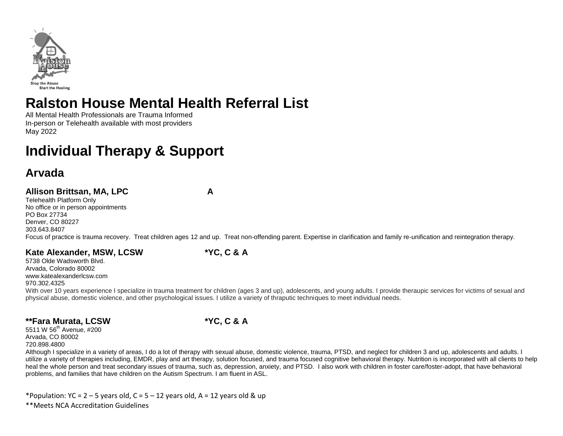

# **Ralston House Mental Health Referral List**

All Mental Health Professionals are Trauma Informed In-person or Telehealth available with most providers May 2022

# **Individual Therapy & Support**

## **Arvada**

### **Allison Brittsan, MA, LPC A**

Telehealth Platform Only

No office or in person appointments PO Box 27734 Denver, CO 80227 303.643.8407 Focus of practice is trauma recovery. Treat children ages 12 and up. Treat non-offending parent. Expertise in clarification and family re-unification and reintegration therapy.

### **Kate Alexander, MSW, LCSW \*YC, C & A**

5738 Olde Wadsworth Blvd. Arvada, Colorado 80002 www.katealexanderlcsw.com 970.302.4325

With over 10 years experience I specialize in trauma treatment for children (ages 3 and up), adolescents, and young adults. I provide theraupic services for victims of sexual and physical abuse, domestic violence, and other psychological issues. I utilize a variety of thraputic techniques to meet individual needs.

### **\*\*Fara Murata, LCSW \*YC, C & A**

5511 W 56<sup>th</sup> Avenue, #200 Arvada, CO 80002 720.898.4800

Although I specialize in a variety of areas, I do a lot of therapy with sexual abuse, domestic violence, trauma, PTSD, and neglect for children 3 and up, adolescents and adults. I utilize a variety of therapies including, EMDR, play and art therapy, solution focused, and trauma focused cognitive behavioral therapy. Nutrition is incorporated with all clients to help heal the whole person and treat secondary issues of trauma, such as, depression, anxiety, and PTSD. I also work with children in foster care/foster-adopt, that have behavioral problems, and families that have children on the Autism Spectrum. I am fluent in ASL.

\*Population:  $YC = 2 - 5$  years old,  $C = 5 - 12$  years old,  $A = 12$  years old & up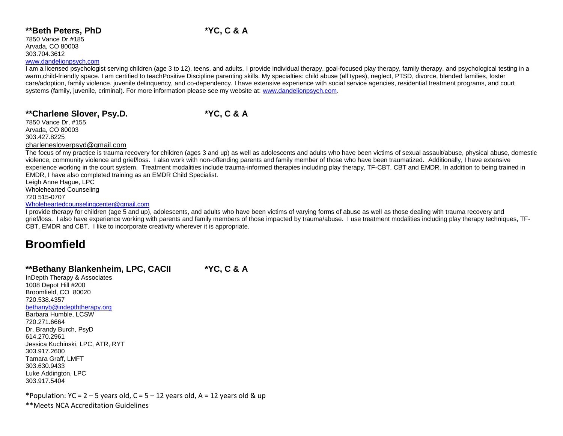#### **\*\*Beth Peters, PhD \*YC, C & A**

7850 Vance Dr #185 Arvada, CO 80003 303.704.3612

#### [www.dandelionpsych.com](http://www.dandelionpsych.com/)

I am a licensed psychologist serving children (age 3 to 12), teens, and adults. I provide individual therapy, goal-focused play therapy, family therapy, and psychological testing in a warm,child-friendly space. I am certified to teachPositive Discipline parenting skills. My specialties: child abuse (all types), neglect, PTSD, divorce, blended families, foster care/adoption, family violence, juvenile delinquency, and co-dependency. I have extensive experience with social service agencies, residential treatment programs, and court systems (family, juvenile, criminal). For more information please see my website at: [www.dandelionpsych.com.](http://www.dandelionpsych.com/)

#### **\*\*Charlene Slover, Psy.D. \*YC, C & A**

7850 Vance Dr, #155 Arvada, CO 80003 303.427.8225 [charlenesloverpsyd@gmail.com](mailto:charlenesloverpsyd@gmail.com)

The focus of my practice is trauma recovery for children (ages 3 and up) as well as adolescents and adults who have been victims of sexual assault/abuse, physical abuse, domestic violence, community violence and grief/loss. I also work with non-offending parents and family member of those who have been traumatized. Additionally, I have extensive experience working in the court system. Treatment modalities include trauma-informed therapies including play therapy, TF-CBT, CBT and EMDR. In addition to being trained in EMDR, I have also completed training as an EMDR Child Specialist.

Leigh Anne Hague, LPC Wholehearted Counseling 720 515-0707

#### [Wholeheartedcounselingcenter@gmail.com](mailto:Wholeheartedcounselingcenter@gmail.com)

I provide therapy for children (age 5 and up), adolescents, and adults who have been victims of varying forms of abuse as well as those dealing with trauma recovery and grief/loss. I also have experience working with parents and family members of those impacted by trauma/abuse. I use treatment modalities including play therapy techniques, TF-CBT, EMDR and CBT. I like to incorporate creativity wherever it is appropriate.

### **Broomfield**

#### **\*\*Bethany Blankenheim, LPC, CACII \*YC, C & A**

InDepth Therapy & Associates 1008 Depot Hill #200 Broomfield, CO 80020 720.538.4357 [bethanyb@indepththerapy.org](mailto:bethanyb@indepththerapy.org) Barbara Humble, LCSW 720.271.6664 Dr. Brandy Burch, PsyD 614.270.2961 Jessica Kuchinski, LPC, ATR, RYT 303.917.2600 Tamara Graff, LMFT 303.630.9433 Luke Addington, LPC 303.917.5404

\*Population: YC = 2 – 5 years old, C = 5 – 12 years old, A = 12 years old & up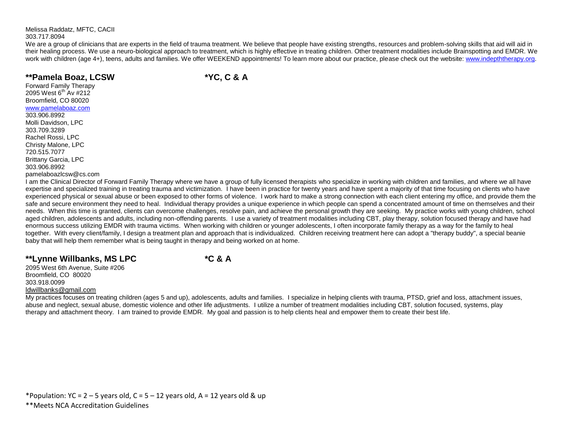Melissa Raddatz, MFTC, CACII 303.717.8094

We are a group of clinicians that are experts in the field of trauma treatment. We believe that people have existing strengths, resources and problem-solving skills that aid will aid in their healing process. We use a neuro-biological approach to treatment, which is highly effective in treating children. Other treatment modalities include Brainspotting and EMDR. We work with children (age 4+), teens, adults and families. We offer WEEKEND appointments! To learn more about our practice, please check out the website: [www.indepththerapy.org.](http://www.indepththerapy.org/)

### **\*\*Pamela Boaz, LCSW \*YC, C & A**

Forward Family Therapy 2095 West 6<sup>th</sup> Av #212 Broomfield, CO 80020 [www.pamelaboaz.com](http://www.pamelaboaz.com/) 303.906.8992 Molli Davidson, LPC 303.709.3289 Rachel Rossi, LPC Christy Malone, LPC 720.515.7077 Brittany Garcia, LPC 303.906.8992 pamelaboazlcsw@cs.com

I am the Clinical Director of Forward Family Therapy where we have a group of fully licensed therapists who specialize in working with children and families, and where we all have expertise and specialized training in treating trauma and victimization. I have been in practice for twenty years and have spent a majority of that time focusing on clients who have experienced physical or sexual abuse or been exposed to other forms of violence. I work hard to make a strong connection with each client entering my office, and provide them the safe and secure environment they need to heal. Individual therapy provides a unique experience in which people can spend a concentrated amount of time on themselves and their needs. When this time is granted, clients can overcome challenges, resolve pain, and achieve the personal growth they are seeking. My practice works with young children, school aged children, adolescents and adults, including non-offending parents. I use a variety of treatment modalities including CBT, play therapy, solution focused therapy and have had enormous success utilizing EMDR with trauma victims. When working with children or younger adolescents, I often incorporate family therapy as a way for the family to heal together. With every client/family, I design a treatment plan and approach that is individualized. Children receiving treatment here can adopt a "therapy buddy", a special beanie baby that will help them remember what is being taught in therapy and being worked on at home.

### **\*\*Lynne Willbanks, MS LPC \*C & A**

2095 West 6th Avenue, Suite #206 Broomfield, CO 80020 303.918.0099 [ldwillbanks@gmail.com](mailto:ldwillbanks@gmail.com)

My practices focuses on treating children (ages 5 and up), adolescents, adults and families. I specialize in helping clients with trauma, PTSD, grief and loss, attachment issues, abuse and neglect, sexual abuse, domestic violence and other life adjustments. I utilize a number of treatment modalities including CBT, solution focused, systems, play therapy and attachment theory. I am trained to provide EMDR. My goal and passion is to help clients heal and empower them to create their best life.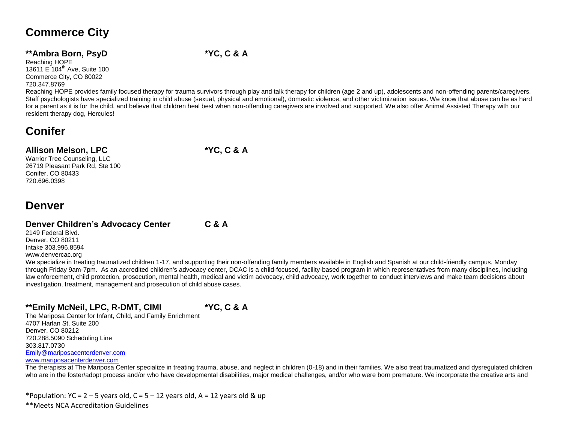## **Commerce City**

### **\*\*Ambra Born, PsyD \*YC, C & A**

Reaching HOPE 13611 E 104<sup>th</sup> Ave, Suite 100 Commerce City, CO 80022 720.347.8769

Reaching HOPE provides family focused therapy for trauma survivors through play and talk therapy for children (age 2 and up), adolescents and non-offending parents/caregivers. Staff psychologists have specialized training in child abuse (sexual, physical and emotional), domestic violence, and other victimization issues. We know that abuse can be as hard for a parent as it is for the child, and believe that children heal best when non-offending caregivers are involved and supported. We also offer Animal Assisted Therapy with our resident therapy dog, Hercules!

## **Conifer**

### **Allison Melson, LPC \*YC, C & A**

Warrior Tree Counseling, LLC 26719 Pleasant Park Rd, Ste 100 Conifer, CO 80433 720.696.0398

### **Denver**

### **Denver Children's Advocacy Center C & A**

2149 Federal Blvd. Denver, CO 80211 Intake 303.996.8594 www.denvercac.org

We specialize in treating traumatized children 1-17, and supporting their non-offending family members available in English and Spanish at our child-friendly campus, Monday through Friday 9am-7pm. As an accredited children's advocacy center, DCAC is a child-focused, facility-based program in which representatives from many disciplines, including law enforcement, child protection, prosecution, mental health, medical and victim advocacy, child advocacy, work together to conduct interviews and make team decisions about investigation, treatment, management and prosecution of child abuse cases.

### **\*\*Emily McNeil, LPC, R-DMT, CIMI \*YC, C & A**

The Mariposa Center for Infant, Child, and Family Enrichment 4707 Harlan St, Suite 200 Denver, CO 80212 720.288.5090 Scheduling Line 303.817.0730 [Emily@mariposacenterdenver.com](mailto:Emily@mariposacenterdenver.com) [www.mariposacenterdenver.com](http://www.mariposacenterdenver.com/)

The therapists at The Mariposa Center specialize in treating trauma, abuse, and neglect in children (0-18) and in their families. We also treat traumatized and dysregulated children who are in the foster/adopt process and/or who have developmental disabilities, major medical challenges, and/or who were born premature. We incorporate the creative arts and

\*Population:  $YC = 2 - 5$  years old,  $C = 5 - 12$  years old,  $A = 12$  years old & up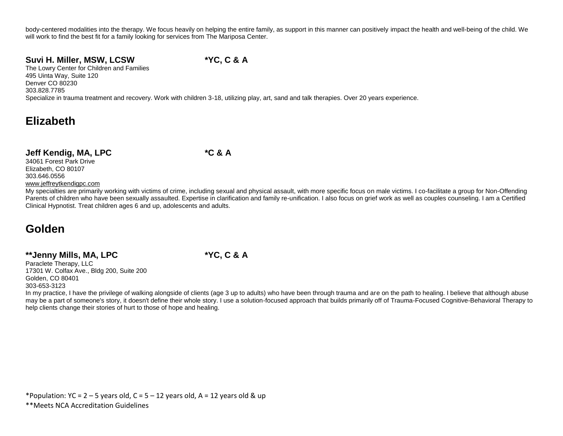body-centered modalities into the therapy. We focus heavily on helping the entire family, as support in this manner can positively impact the health and well-being of the child. We will work to find the best fit for a family looking for services from The Mariposa Center.

### **Suvi H. Miller, MSW, LCSW \*YC, C & A**

The Lowry Center for Children and Families 495 Uinta Way, Suite 120 Denver CO 80230 303.828.7785 Specialize in trauma treatment and recovery. Work with children 3-18, utilizing play, art, sand and talk therapies. Over 20 years experience.

## **Elizabeth**

### **Jeff Kendig, MA, LPC \*C & A**

34061 Forest Park Drive Elizabeth, CO 80107 303.646.0556 www.jeffreytkendigpc.com

My specialties are primarily working with victims of crime, including sexual and physical assault, with more specific focus on male victims. I co-facilitate a group for Non-Offending Parents of children who have been sexually assaulted. Expertise in clarification and family re-unification. I also focus on grief work as well as couples counseling. I am a Certified Clinical Hypnotist. Treat children ages 6 and up, adolescents and adults.

## **Golden**

### **\*\*Jenny Mills, MA, LPC \*YC, C & A**

Paraclete Therapy, LLC 17301 W. Colfax Ave., Bldg 200, Suite 200 Golden, CO 80401 303-653-3123

In my practice, I have the privilege of walking alongside of clients (age 3 up to adults) who have been through trauma and are on the path to healing. I believe that although abuse may be a part of someone's story, it doesn't define their whole story. I use a solution-focused approach that builds primarily off of Trauma-Focused Cognitive-Behavioral Therapy to help clients change their stories of hurt to those of hope and healing.

\*Population:  $YC = 2 - 5$  years old,  $C = 5 - 12$  years old,  $A = 12$  years old & up \*\*Meets NCA Accreditation Guidelines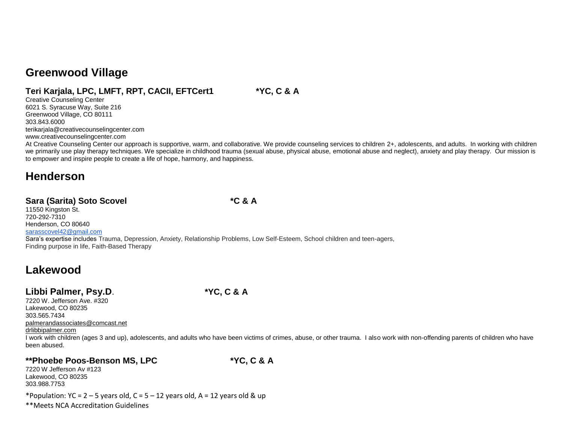### **Greenwood Village**

### **Teri Karjala, LPC, LMFT, RPT, CACII, EFTCert1 \*YC, C & A**

Creative Counseling Center 6021 S. Syracuse Way, Suite 216 Greenwood Village, CO 80111 303.843.6000 terikarjala@creativecounselingcenter.com www.creativecounselingcenter.com

At Creative Counseling Center our approach is supportive, warm, and collaborative. We provide counseling services to children 2+, adolescents, and adults. In working with children we primarily use play therapy techniques. We specialize in childhood trauma (sexual abuse, physical abuse, emotional abuse and neglect), anxiety and play therapy. Our mission is to empower and inspire people to create a life of hope, harmony, and happiness.

### **Henderson**

### **Sara (Sarita) Soto Scovel \*C & A**

11550 Kingston St. 720-292-7310 Henderson, CO 80640 [sarasscovel42@gmail.com](mailto:sarasscovel42@gmail.com)

Sara's expertise includes Trauma, Depression, Anxiety, Relationship Problems, Low Self-Esteem, School children and teen-agers, Finding purpose in life, Faith-Based Therapy

### **Lakewood**

### **Libbi Palmer, Psy.D**. **\*YC, C & A**

7220 W. Jefferson Ave. #320 Lakewood, CO 80235 303.565.7434 [palmerandassociates@comcast.net](mailto:palmerandassociates@comcast.net) drlibbipalmer.com I work with children (ages 3 and up), adolescents, and adults who have been victims of crimes, abuse, or other trauma. I also work with non-offending parents of children who have been abused.

## **\*\*Phoebe Poos-Benson MS, LPC \*YC, C & A**

7220 W Jefferson Av #123 Lakewood, CO 80235 303.988.7753

\*Population: YC =  $2 - 5$  years old, C =  $5 - 12$  years old, A = 12 years old & up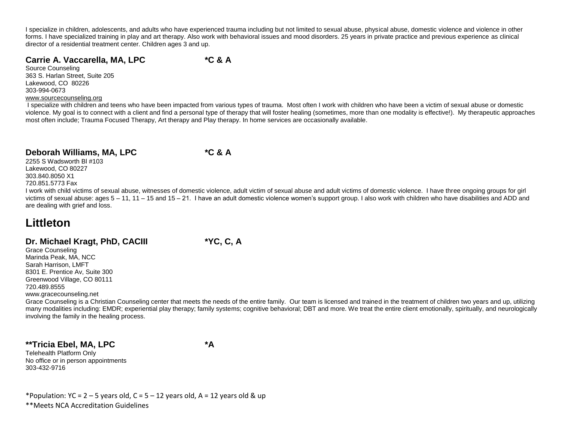I specialize in children, adolescents, and adults who have experienced trauma including but not limited to sexual abuse, physical abuse, domestic violence and violence in other forms. I have specialized training in play and art therapy. Also work with behavioral issues and mood disorders. 25 years in private practice and previous experience as clinical director of a residential treatment center. Children ages 3 and up.

#### **Carrie A. Vaccarella, MA, LPC \*C & A**

Source Counseling 363 S. Harlan Street, Suite 205 Lakewood, CO 80226 303-994-0673 [www.sourcecounseling.org](http://www.sourcecounseling.org/)

I specialize with children and teens who have been impacted from various types of trauma. Most often I work with children who have been a victim of sexual abuse or domestic violence. My goal is to connect with a client and find a personal type of therapy that will foster healing (sometimes, more than one modality is effective!). My therapeutic approaches most often include; Trauma Focused Therapy, Art therapy and Play therapy. In home services are occasionally available.

### **Deborah Williams, MA, LPC \*C & A**

2255 S Wadsworth Bl #103 Lakewood, CO 80227 303.840.8050 X1 720.851.5773 Fax

I work with child victims of sexual abuse, witnesses of domestic violence, adult victim of sexual abuse and adult victims of domestic violence. I have three ongoing groups for girl victims of sexual abuse: ages 5 – 11, 11 – 15 and 15 – 21. I have an adult domestic violence women's support group. I also work with children who have disabilities and ADD and are dealing with grief and loss.

### **Littleton**

### **Dr. Michael Kragt, PhD, CACIII \*YC, C, A**

Grace Counseling Marinda Peak, MA, NCC Sarah Harrison, LMFT 8301 E. Prentice Av, Suite 300 Greenwood Village, CO 80111 720.489.8555

www.gracecounseling.net

Grace Counseling is a Christian Counseling center that meets the needs of the entire family. Our team is licensed and trained in the treatment of children two years and up, utilizing many modalities including: EMDR; experiential play therapy; family systems; cognitive behavioral; DBT and more. We treat the entire client emotionally, spiritually, and neurologically involving the family in the healing process.

#### **\*\*Tricia Ebel, MA, LPC \*A**

Telehealth Platform Only No office or in person appointments 303-432-9716

\*Population: YC = 2 – 5 years old, C = 5 – 12 years old, A = 12 years old & up \*\*Meets NCA Accreditation Guidelines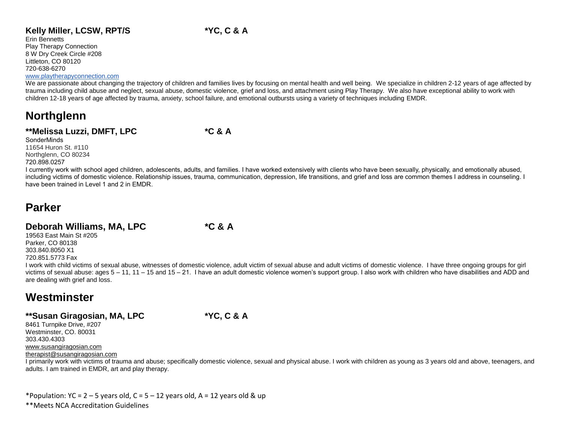### Kelly Miller, LCSW, RPT/S \*YC, C & A

Erin Bennetts Play Therapy Connection 8 W Dry Creek Circle #208 Littleton, CO 80120 720-638-6270

#### [www.playtherapyconnection.com](http://www.playtherapyconnection.com/)

We are passionate about changing the trajectory of children and families lives by focusing on mental health and well being. We specialize in children 2-12 years of age affected by trauma including child abuse and neglect, sexual abuse, domestic violence, grief and loss, and attachment using Play Therapy. We also have exceptional ability to work with children 12-18 years of age affected by trauma, anxiety, school failure, and emotional outbursts using a variety of techniques including EMDR.

### **Northglenn**

#### **\*\*Melissa Luzzi, DMFT, LPC \*C & A**

**SonderMinds** 11654 Huron St. #110 Northglenn, CO 80234 720.898.0257

I currently work with school aged children, adolescents, adults, and families. I have worked extensively with clients who have been sexually, physically, and emotionally abused, including victims of domestic violence. Relationship issues, trauma, communication, depression, life transitions, and grief and loss are common themes I address in counseling. I have been trained in Level 1 and 2 in EMDR.

### **Parker**

### **Deborah Williams, MA, LPC \*C & A**

19563 East Main St #205 Parker, CO 80138 303.840.8050 X1 720.851.5773 Fax

I work with child victims of sexual abuse, witnesses of domestic violence, adult victim of sexual abuse and adult victims of domestic violence. I have three ongoing groups for girl victims of sexual abuse: ages 5 – 11, 11 – 15 and 15 – 21. I have an adult domestic violence women's support group. I also work with children who have disabilities and ADD and are dealing with grief and loss.

## **Westminster**

### **\*\*Susan Giragosian, MA, LPC \*YC, C & A**

8461 Turnpike Drive, #207 Westminster, CO. 80031 303.430.4303 [www.susangiragosian.com](http://www.susangiragosian.com/) [therapist@susangiragosian.com](mailto:therapist@susangiragosian.com)

I primarily work with victims of trauma and abuse; specifically domestic violence, sexual and physical abuse. I work with children as young as 3 years old and above, teenagers, and adults. I am trained in EMDR, art and play therapy.

\*Population: YC =  $2 - 5$  years old, C =  $5 - 12$  years old, A = 12 years old & up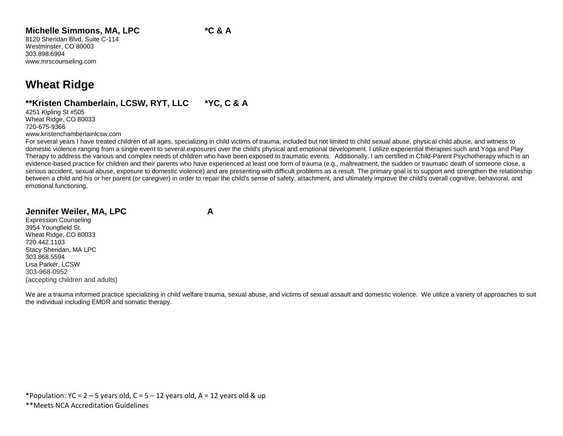### **Michelle Simmons, MA, LPC \*C & A**

8120 Sheridan Blvd, Suite C-114 Westminster, CO 80003 303.898.6994 www.mrscounseling.com

## **Wheat Ridge**

### **\*\*Kristen Chamberlain, LCSW, RYT, LLC \*YC, C & A**

4251 Kipling St #505 Wheat Ridge, CO 80033 720-675-9366 www.kristenchamberlainlcsw.com

For several years I have treated children of all ages, specializing in child victims of trauma, included but not limited to child sexual abuse, physical child abuse, and witness to domestic violence ranging from a single event to several exposures over the child's physical and emotional development. I utilize experiential therapies such and Yoga and Play Therapy to address the various and complex needs of children who have been exposed to traumatic events. Additionally, I am certified in Child-Parent Psychotherapy which is an evidence-based practice for children and their parents who have experienced at least one form of trauma (e.g., maltreatment, the sudden or traumatic death of someone close, a serious accident, sexual abuse, exposure to domestic violence) and are presenting with difficult problems as a result. The primary goal is to support and strengthen the relationship between a child and his or her parent (or caregiver) in order to repair the child's sense of safety, attachment, and ultimately improve the child's overall cognitive, behavioral, and emotional functioning.

#### **Jennifer Weiler, MA, LPC A**

Expression Counseling 3954 Youngfield St. Wheat Ridge, CO 80033 720.442.1103 Stacy Sheridan, MA LPC 303.868.5594 Lisa Parker, LCSW 303-968-0952 (accepting children and adults)

We are a trauma informed practice specializing in child welfare trauma, sexual abuse, and victims of sexual assault and domestic violence. We utilize a variety of approaches to suit the individual including EMDR and somatic therapy.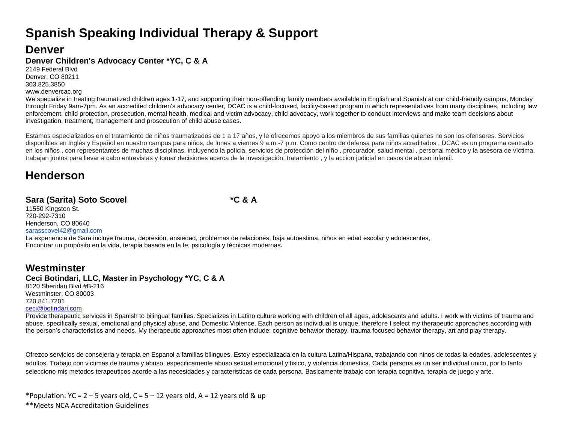# **Spanish Speaking Individual Therapy & Support**

### **Denver**

### **Denver Children's Advocacy Center \*YC, C & A**

2149 Federal Blvd Denver, CO 80211 303.825.3850 www.denvercac.org

We specialize in treating traumatized children ages 1-17, and supporting their non-offending family members available in English and Spanish at our child-friendly campus, Monday through Friday 9am-7pm. As an accredited children's advocacy center, DCAC is a child-focused, facility-based program in which representatives from many disciplines, including law enforcement, child protection, prosecution, mental health, medical and victim advocacy, child advocacy, work together to conduct interviews and make team decisions about investigation, treatment, management and prosecution of child abuse cases.

Estamos especializados en el tratamiento de niños traumatizados de 1 a 17 años, y le ofrecemos apoyo a los miembros de sus familias quienes no son los ofensores. Servicios disponibles en Inglés y Español en nuestro campus para niños, de lunes a viernes 9 a.m.-7 p.m. Como centro de defensa para niños acreditados , DCAC es un programa centrado en los niños , con representantes de muchas disciplinas, incluyendo la policia, servicios de protección del niño , procurador, salud mental , personal médico y la asesora de víctima, trabajan juntos para llevar a cabo entrevistas y tomar decisiones acerca de la investigación, tratamiento , y la accion judicial en casos de abuso infantil.

### **Henderson**

### **Sara (Sarita) Soto Scovel \*C & A**

11550 Kingston St. 720-292-7310 Henderson, CO 80640 [sarasscovel42@gmail.com](mailto:sarasscovel42@gmail.com)

La experiencia de Sara incluye trauma, depresión, ansiedad, problemas de relaciones, baja autoestima, niños en edad escolar y adolescentes, Encontrar un propósito en la vida, terapia basada en la fe, psicología y técnicas modernas**.** 

### **Westminster**

#### **Ceci Botindari, LLC, Master in Psychology \*YC, C & A**

8120 Sheridan Blvd #B-216 Westminster, CO 80003 720.841.7201 [ceci@botindari.com](mailto:ceci@botindari.com)

Provide therapeutic services in Spanish to bilingual families. Specializes in Latino culture working with children of all ages, adolescents and adults. I work with victims of trauma and abuse, specifically sexual, emotional and physical abuse, and Domestic Violence. Each person as individual is unique, therefore I select my therapeutic approaches according with the person's characteristics and needs. My therapeutic approaches most often include: cognitive behavior therapy, trauma focused behavior therapy, art and play therapy.

Ofrezco servicios de consejeria y terapia en Espanol a familias bilingues. Estoy especializada en la cultura Latina/Hispana, trabajando con ninos de todas la edades, adolescentes y adultos. Trabajo con victimas de trauma y abuso, especificamente abuso sexual,emocional y fisico, y violencia domestica. Cada persona es un ser individual unico, por lo tanto selecciono mis metodos terapeuticos acorde a las necesidades y caracteristicas de cada persona. Basicamente trabajo con terapia cognitiva, terapia de juego y arte.

\*Population: YC =  $2 - 5$  years old, C =  $5 - 12$  years old, A = 12 years old & up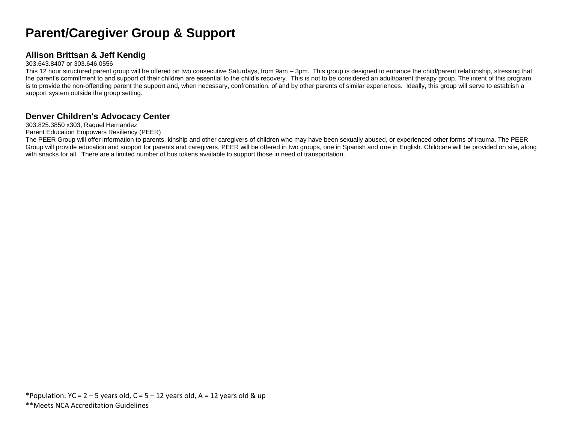# **Parent/Caregiver Group & Support**

### **Allison Brittsan & Jeff Kendig**

#### 303.643.8407 or 303.646.0556

This 12 hour structured parent group will be offered on two consecutive Saturdays, from 9am – 3pm. This group is designed to enhance the child/parent relationship, stressing that the parent's commitment to and support of their children are essential to the child's recovery. This is not to be considered an adult/parent therapy group. The intent of this program is to provide the non-offending parent the support and, when necessary, confrontation, of and by other parents of similar experiences. Ideally, this group will serve to establish a support system outside the group setting.

### **Denver Children's Advocacy Center**

303.825.3850 x303, Raquel Hernandez

Parent Education Empowers Resiliency (PEER)

The PEER Group will offer information to parents, kinship and other caregivers of children who may have been sexually abused, or experienced other forms of trauma. The PEER Group will provide education and support for parents and caregivers. PEER will be offered in two groups, one in Spanish and one in English. Childcare will be provided on site, along with snacks for all. There are a limited number of bus tokens available to support those in need of transportation.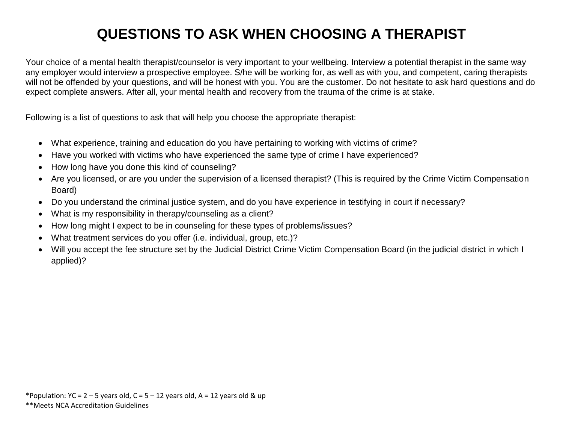# **QUESTIONS TO ASK WHEN CHOOSING A THERAPIST**

Your choice of a mental health therapist/counselor is very important to your wellbeing. Interview a potential therapist in the same way any employer would interview a prospective employee. S/he will be working for, as well as with you, and competent, caring therapists will not be offended by your questions, and will be honest with you. You are the customer. Do not hesitate to ask hard questions and do expect complete answers. After all, your mental health and recovery from the trauma of the crime is at stake.

Following is a list of questions to ask that will help you choose the appropriate therapist:

- What experience, training and education do you have pertaining to working with victims of crime?
- Have you worked with victims who have experienced the same type of crime I have experienced?
- How long have you done this kind of counseling?
- Are you licensed, or are you under the supervision of a licensed therapist? (This is required by the Crime Victim Compensation Board)
- Do you understand the criminal justice system, and do you have experience in testifying in court if necessary?
- What is my responsibility in therapy/counseling as a client?
- How long might I expect to be in counseling for these types of problems/issues?
- What treatment services do you offer (i.e. individual, group, etc.)?
- Will you accept the fee structure set by the Judicial District Crime Victim Compensation Board (in the judicial district in which I applied)?